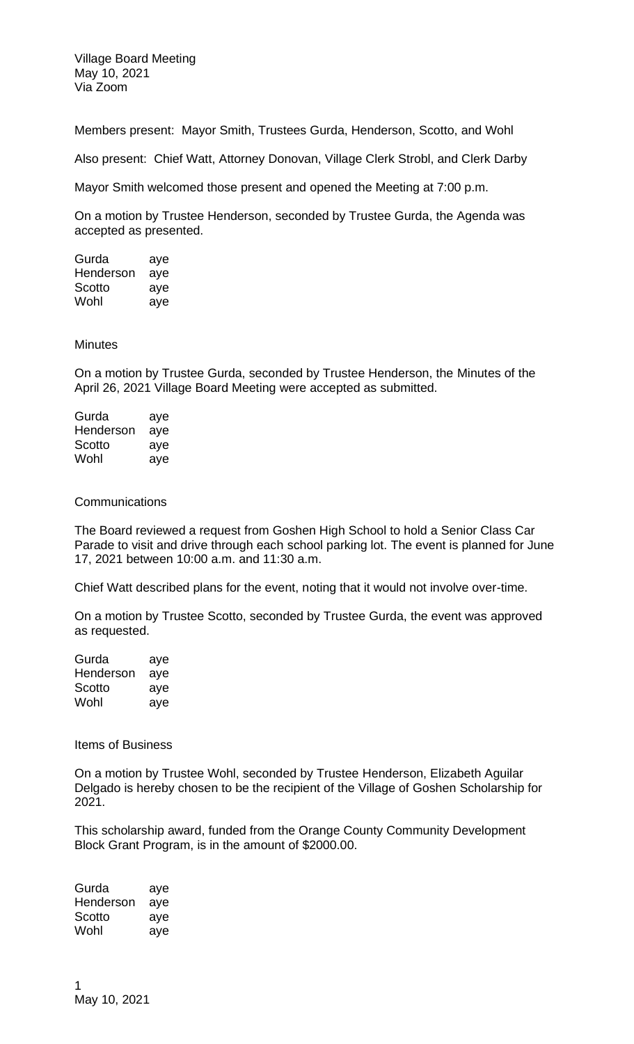Village Board Meeting May 10, 2021 Via Zoom

Members present: Mayor Smith, Trustees Gurda, Henderson, Scotto, and Wohl

Also present: Chief Watt, Attorney Donovan, Village Clerk Strobl, and Clerk Darby

Mayor Smith welcomed those present and opened the Meeting at 7:00 p.m.

On a motion by Trustee Henderson, seconded by Trustee Gurda, the Agenda was accepted as presented.

| Gurda     | aye |
|-----------|-----|
| Henderson | aye |
| Scotto    | aye |
| Wohl      | aye |

## **Minutes**

On a motion by Trustee Gurda, seconded by Trustee Henderson, the Minutes of the April 26, 2021 Village Board Meeting were accepted as submitted.

| Gurda     | aye |
|-----------|-----|
| Henderson | aye |
| Scotto    | aye |
| Wohl      | aye |

## **Communications**

The Board reviewed a request from Goshen High School to hold a Senior Class Car Parade to visit and drive through each school parking lot. The event is planned for June 17, 2021 between 10:00 a.m. and 11:30 a.m.

Chief Watt described plans for the event, noting that it would not involve over-time.

On a motion by Trustee Scotto, seconded by Trustee Gurda, the event was approved as requested.

| Gurda     | aye |
|-----------|-----|
| Henderson | aye |
| Scotto    | aye |
| Wohl      | aye |

Items of Business

On a motion by Trustee Wohl, seconded by Trustee Henderson, Elizabeth Aguilar Delgado is hereby chosen to be the recipient of the Village of Goshen Scholarship for 2021.

This scholarship award, funded from the Orange County Community Development Block Grant Program, is in the amount of \$2000.00.

Gurda aye Henderson aye Scotto aye Wohl aye